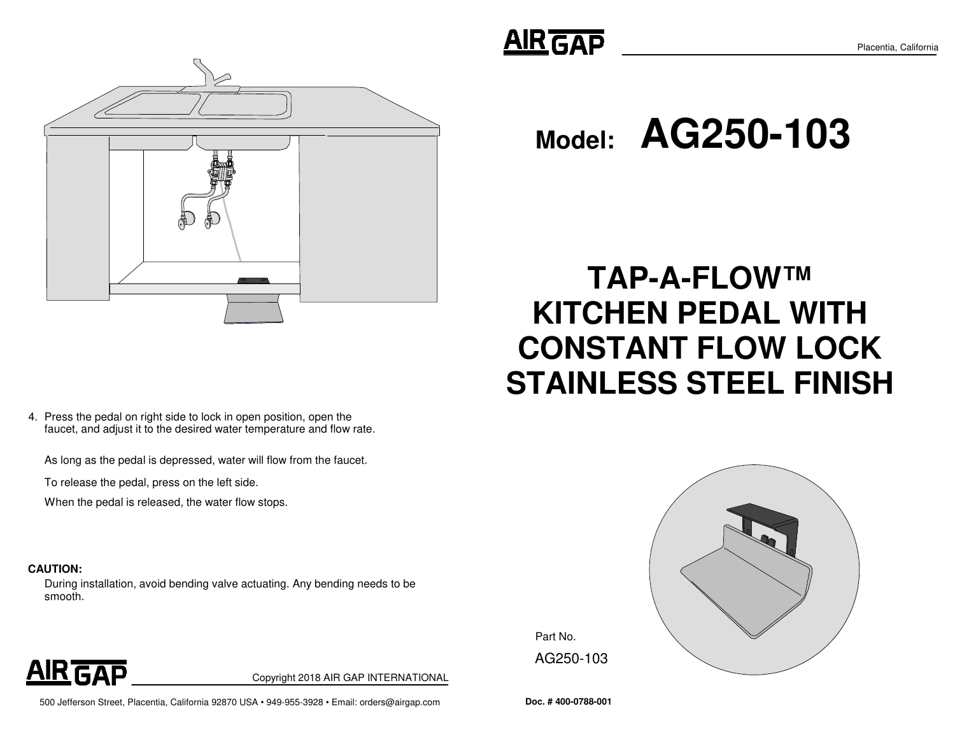

4. Press the pedal on right side to lock in open position, open the faucet, and adjust it to the desired water temperature and flow rate.

As long as the pedal is depressed, water will flow from the faucet.

To release the pedal, press on the left side.

When the pedal is released, the water flow stops.

#### **CAUTION:**

During installation, avoid bending valve actuating. Any bending needs to be smooth.



Placentia, California

**Model:AG250-103**

# **TAP-A-FLOW™ KITCHEN PEDAL WITHCONSTANT FLOW LOCKSTAINLESS STEEL FINISH**



Part No. AG250-103



Copyright 2018 AIR GAP INTERNATIONAL

500 Jefferson Street, Placentia, California 92870 USA • 949-955-3928 • Email: orders@airgap.com **Doc. # 400-0788-001**